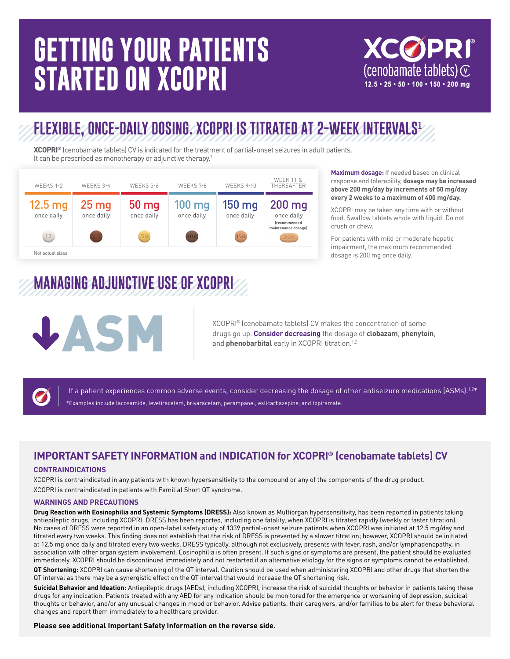# **GETTING YOUR PATIENTS STARTED ON XCOPRI**

**XCØPRI** (cenobamate tablets)  $\odot$  $12.5 \cdot 25 \cdot 50 \cdot 100 \cdot 150 \cdot 200$  ma

### **FLEXIBLE, ONCE-DAILY DOSING. XCOPRI IS TITRATED AT 2-WEEK INTERVALS1**

**XCOPRI®** (cenobamate tablets) CV is indicated for the treatment of partial-onset seizures in adult patients. It can be prescribed as monotherapy or adjunctive therapy.<sup>1</sup>



#### **Maximum dosage:** If needed based on clinical response and tolerability, **dosage may be increased above 200 mg/day by increments of 50 mg/day every 2 weeks to a maximum of 400 mg/day.**

XCOPRI may be taken any time with or without food. Swallow tablets whole with liquid. Do not crush or chew.

For patients with mild or moderate hepatic impairment, the maximum recommended dosage is 200 mg once daily.

## **MANAGING ADJUNCTIVE USE OF XCOPRI**



XCOPRI® (cenobamate tablets) CV makes the concentration of some drugs go up. **Consider decreasing** the dosage of **clobazam**, **phenytoin**, and **phenobarbital** early in XCOPRI titration.<sup>1,2</sup>



If a patient experiences common adverse events, consider decreasing the dosage of other antiseizure medications  $[ASMs].<sup>1,2*</sup>$ \*Examples include lacosamide, levetiracetam, brivaracetam, perampanel, eslicarbazepine, and topiramate.

#### **IMPORTANT SAFETY INFORMATION and INDICATION for XCOPRI® (cenobamate tablets) CV**

#### **CONTRAINDICATIONS**

XCOPRI is contraindicated in any patients with known hypersensitivity to the compound or any of the components of the drug product. XCOPRI is contraindicated in patients with Familial Short QT syndrome.

#### **WARNINGS AND PRECAUTIONS**

**Drug Reaction with Eosinophilia and Systemic Symptoms (DRESS):** Also known as Multiorgan hypersensitivity, has been reported in patients taking antiepileptic drugs, including XCOPRI. DRESS has been reported, including one fatality, when XCOPRI is titrated rapidly (weekly or faster titration). No cases of DRESS were reported in an open-label safety study of 1339 partial-onset seizure patients when XCOPRI was initiated at 12.5 mg/day and titrated every two weeks. This finding does not establish that the risk of DRESS is prevented by a slower titration; however, XCOPRI should be initiated at 12.5 mg once daily and titrated every two weeks. DRESS typically, although not exclusively, presents with fever, rash, and/or lymphadenopathy, in association with other organ system involvement. Eosinophilia is often present. If such signs or symptoms are present, the patient should be evaluated immediately. XCOPRI should be discontinued immediately and not restarted if an alternative etiology for the signs or symptoms cannot be established.

**QT Shortening:** XCOPRI can cause shortening of the QT interval. Caution should be used when administering XCOPRI and other drugs that shorten the QT interval as there may be a synergistic effect on the QT interval that would increase the QT shortening risk.

**Suicidal Behavior and Ideation:** Antiepileptic drugs (AEDs), including XCOPRI, increase the risk of suicidal thoughts or behavior in patients taking these drugs for any indication. Patients treated with any AED for any indication should be monitored for the emergence or worsening of depression, suicidal thoughts or behavior, and/or any unusual changes in mood or behavior. Advise patients, their caregivers, and/or families to be alert for these behavioral changes and report them immediately to a healthcare provider.

**Please see additional Important Safety Information on the reverse side.**